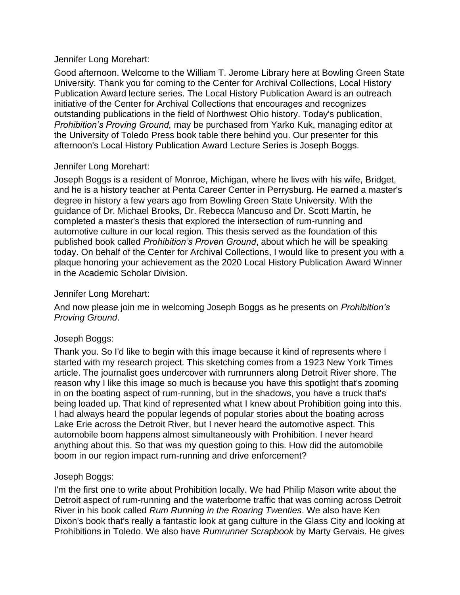#### Jennifer Long Morehart:

Good afternoon. Welcome to the William T. Jerome Library here at Bowling Green State University. Thank you for coming to the Center for Archival Collections, Local History Publication Award lecture series. The Local History Publication Award is an outreach initiative of the Center for Archival Collections that encourages and recognizes outstanding publications in the field of Northwest Ohio history. Today's publication, *Prohibition's Proving Ground,* may be purchased from Yarko Kuk, managing editor at the University of Toledo Press book table there behind you. Our presenter for this afternoon's Local History Publication Award Lecture Series is Joseph Boggs.

## Jennifer Long Morehart:

Joseph Boggs is a resident of Monroe, Michigan, where he lives with his wife, Bridget, and he is a history teacher at Penta Career Center in Perrysburg. He earned a master's degree in history a few years ago from Bowling Green State University. With the guidance of Dr. Michael Brooks, Dr. Rebecca Mancuso and Dr. Scott Martin, he completed a master's thesis that explored the intersection of rum-running and automotive culture in our local region. This thesis served as the foundation of this published book called *Prohibition's Proven Ground*, about which he will be speaking today. On behalf of the Center for Archival Collections, I would like to present you with a plaque honoring your achievement as the 2020 Local History Publication Award Winner in the Academic Scholar Division.

## Jennifer Long Morehart:

And now please join me in welcoming Joseph Boggs as he presents on *Prohibition's Proving Ground*.

## Joseph Boggs:

Thank you. So I'd like to begin with this image because it kind of represents where I started with my research project. This sketching comes from a 1923 New York Times article. The journalist goes undercover with rumrunners along Detroit River shore. The reason why I like this image so much is because you have this spotlight that's zooming in on the boating aspect of rum-running, but in the shadows, you have a truck that's being loaded up. That kind of represented what I knew about Prohibition going into this. I had always heard the popular legends of popular stories about the boating across Lake Erie across the Detroit River, but I never heard the automotive aspect. This automobile boom happens almost simultaneously with Prohibition. I never heard anything about this. So that was my question going to this. How did the automobile boom in our region impact rum-running and drive enforcement?

## Joseph Boggs:

I'm the first one to write about Prohibition locally. We had Philip Mason write about the Detroit aspect of rum-running and the waterborne traffic that was coming across Detroit River in his book called *Rum Running in the Roaring Twenties*. We also have Ken Dixon's book that's really a fantastic look at gang culture in the Glass City and looking at Prohibitions in Toledo. We also have *Rumrunner Scrapbook* by Marty Gervais. He gives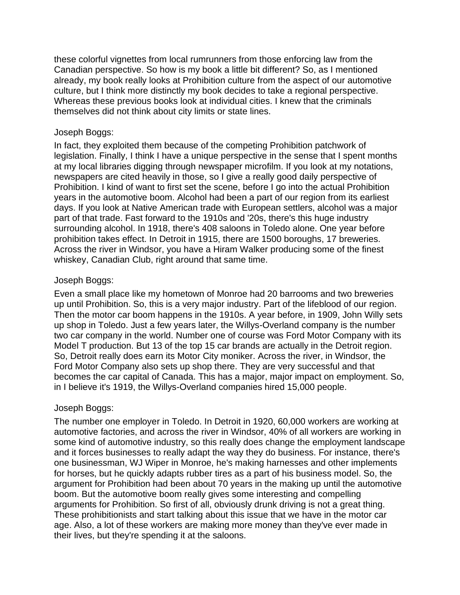these colorful vignettes from local rumrunners from those enforcing law from the Canadian perspective. So how is my book a little bit different? So, as I mentioned already, my book really looks at Prohibition culture from the aspect of our automotive culture, but I think more distinctly my book decides to take a regional perspective. Whereas these previous books look at individual cities. I knew that the criminals themselves did not think about city limits or state lines.

## Joseph Boggs:

In fact, they exploited them because of the competing Prohibition patchwork of legislation. Finally, I think I have a unique perspective in the sense that I spent months at my local libraries digging through newspaper microfilm. If you look at my notations, newspapers are cited heavily in those, so I give a really good daily perspective of Prohibition. I kind of want to first set the scene, before I go into the actual Prohibition years in the automotive boom. Alcohol had been a part of our region from its earliest days. If you look at Native American trade with European settlers, alcohol was a major part of that trade. Fast forward to the 1910s and '20s, there's this huge industry surrounding alcohol. In 1918, there's 408 saloons in Toledo alone. One year before prohibition takes effect. In Detroit in 1915, there are 1500 boroughs, 17 breweries. Across the river in Windsor, you have a Hiram Walker producing some of the finest whiskey, Canadian Club, right around that same time.

## Joseph Boggs:

Even a small place like my hometown of Monroe had 20 barrooms and two breweries up until Prohibition. So, this is a very major industry. Part of the lifeblood of our region. Then the motor car boom happens in the 1910s. A year before, in 1909, John Willy sets up shop in Toledo. Just a few years later, the Willys-Overland company is the number two car company in the world. Number one of course was Ford Motor Company with its Model T production. But 13 of the top 15 car brands are actually in the Detroit region. So, Detroit really does earn its Motor City moniker. Across the river, in Windsor, the Ford Motor Company also sets up shop there. They are very successful and that becomes the car capital of Canada. This has a major, major impact on employment. So, in I believe it's 1919, the Willys-Overland companies hired 15,000 people.

## Joseph Boggs:

The number one employer in Toledo. In Detroit in 1920, 60,000 workers are working at automotive factories, and across the river in Windsor, 40% of all workers are working in some kind of automotive industry, so this really does change the employment landscape and it forces businesses to really adapt the way they do business. For instance, there's one businessman, WJ Wiper in Monroe, he's making harnesses and other implements for horses, but he quickly adapts rubber tires as a part of his business model. So, the argument for Prohibition had been about 70 years in the making up until the automotive boom. But the automotive boom really gives some interesting and compelling arguments for Prohibition. So first of all, obviously drunk driving is not a great thing. These prohibitionists and start talking about this issue that we have in the motor car age. Also, a lot of these workers are making more money than they've ever made in their lives, but they're spending it at the saloons.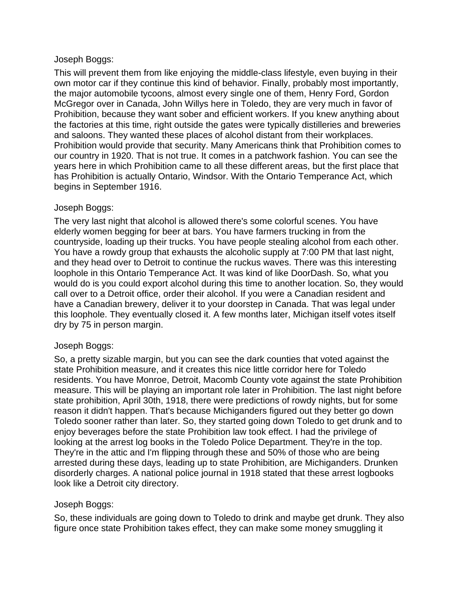## Joseph Boggs:

This will prevent them from like enjoying the middle-class lifestyle, even buying in their own motor car if they continue this kind of behavior. Finally, probably most importantly, the major automobile tycoons, almost every single one of them, Henry Ford, Gordon McGregor over in Canada, John Willys here in Toledo, they are very much in favor of Prohibition, because they want sober and efficient workers. If you knew anything about the factories at this time, right outside the gates were typically distilleries and breweries and saloons. They wanted these places of alcohol distant from their workplaces. Prohibition would provide that security. Many Americans think that Prohibition comes to our country in 1920. That is not true. It comes in a patchwork fashion. You can see the years here in which Prohibition came to all these different areas, but the first place that has Prohibition is actually Ontario, Windsor. With the Ontario Temperance Act, which begins in September 1916.

## Joseph Boggs:

The very last night that alcohol is allowed there's some colorful scenes. You have elderly women begging for beer at bars. You have farmers trucking in from the countryside, loading up their trucks. You have people stealing alcohol from each other. You have a rowdy group that exhausts the alcoholic supply at 7:00 PM that last night, and they head over to Detroit to continue the ruckus waves. There was this interesting loophole in this Ontario Temperance Act. It was kind of like DoorDash. So, what you would do is you could export alcohol during this time to another location. So, they would call over to a Detroit office, order their alcohol. If you were a Canadian resident and have a Canadian brewery, deliver it to your doorstep in Canada. That was legal under this loophole. They eventually closed it. A few months later, Michigan itself votes itself dry by 75 in person margin.

## Joseph Boggs:

So, a pretty sizable margin, but you can see the dark counties that voted against the state Prohibition measure, and it creates this nice little corridor here for Toledo residents. You have Monroe, Detroit, Macomb County vote against the state Prohibition measure. This will be playing an important role later in Prohibition. The last night before state prohibition, April 30th, 1918, there were predictions of rowdy nights, but for some reason it didn't happen. That's because Michiganders figured out they better go down Toledo sooner rather than later. So, they started going down Toledo to get drunk and to enjoy beverages before the state Prohibition law took effect. I had the privilege of looking at the arrest log books in the Toledo Police Department. They're in the top. They're in the attic and I'm flipping through these and 50% of those who are being arrested during these days, leading up to state Prohibition, are Michiganders. Drunken disorderly charges. A national police journal in 1918 stated that these arrest logbooks look like a Detroit city directory.

# Joseph Boggs:

So, these individuals are going down to Toledo to drink and maybe get drunk. They also figure once state Prohibition takes effect, they can make some money smuggling it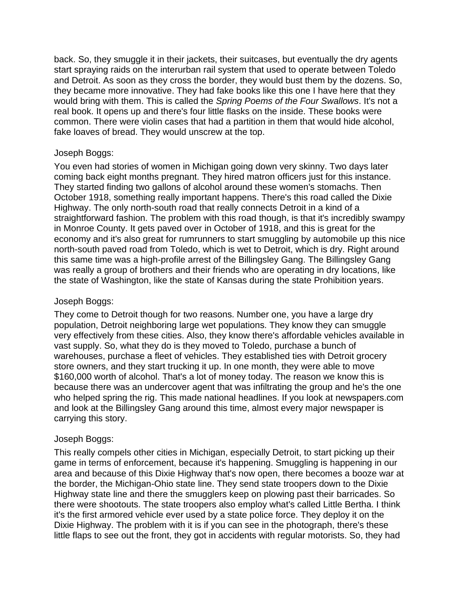back. So, they smuggle it in their jackets, their suitcases, but eventually the dry agents start spraying raids on the interurban rail system that used to operate between Toledo and Detroit. As soon as they cross the border, they would bust them by the dozens. So, they became more innovative. They had fake books like this one I have here that they would bring with them. This is called the *Spring Poems of the Four Swallows*. It's not a real book. It opens up and there's four little flasks on the inside. These books were common. There were violin cases that had a partition in them that would hide alcohol, fake loaves of bread. They would unscrew at the top.

## Joseph Boggs:

You even had stories of women in Michigan going down very skinny. Two days later coming back eight months pregnant. They hired matron officers just for this instance. They started finding two gallons of alcohol around these women's stomachs. Then October 1918, something really important happens. There's this road called the Dixie Highway. The only north-south road that really connects Detroit in a kind of a straightforward fashion. The problem with this road though, is that it's incredibly swampy in Monroe County. It gets paved over in October of 1918, and this is great for the economy and it's also great for rumrunners to start smuggling by automobile up this nice north-south paved road from Toledo, which is wet to Detroit, which is dry. Right around this same time was a high-profile arrest of the Billingsley Gang. The Billingsley Gang was really a group of brothers and their friends who are operating in dry locations, like the state of Washington, like the state of Kansas during the state Prohibition years.

## Joseph Boggs:

They come to Detroit though for two reasons. Number one, you have a large dry population, Detroit neighboring large wet populations. They know they can smuggle very effectively from these cities. Also, they know there's affordable vehicles available in vast supply. So, what they do is they moved to Toledo, purchase a bunch of warehouses, purchase a fleet of vehicles. They established ties with Detroit grocery store owners, and they start trucking it up. In one month, they were able to move \$160,000 worth of alcohol. That's a lot of money today. The reason we know this is because there was an undercover agent that was infiltrating the group and he's the one who helped spring the rig. This made national headlines. If you look at newspapers.com and look at the Billingsley Gang around this time, almost every major newspaper is carrying this story.

## Joseph Boggs:

This really compels other cities in Michigan, especially Detroit, to start picking up their game in terms of enforcement, because it's happening. Smuggling is happening in our area and because of this Dixie Highway that's now open, there becomes a booze war at the border, the Michigan-Ohio state line. They send state troopers down to the Dixie Highway state line and there the smugglers keep on plowing past their barricades. So there were shootouts. The state troopers also employ what's called Little Bertha. I think it's the first armored vehicle ever used by a state police force. They deploy it on the Dixie Highway. The problem with it is if you can see in the photograph, there's these little flaps to see out the front, they got in accidents with regular motorists. So, they had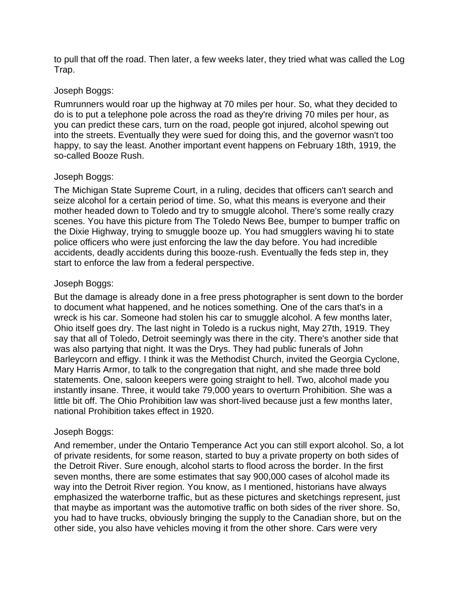to pull that off the road. Then later, a few weeks later, they tried what was called the Log Trap.

## Joseph Boggs:

Rumrunners would roar up the highway at 70 miles per hour. So, what they decided to do is to put a telephone pole across the road as they're driving 70 miles per hour, as you can predict these cars, turn on the road, people got injured, alcohol spewing out into the streets. Eventually they were sued for doing this, and the governor wasn't too happy, to say the least. Another important event happens on February 18th, 1919, the so-called Booze Rush.

#### Joseph Boggs:

The Michigan State Supreme Court, in a ruling, decides that officers can't search and seize alcohol for a certain period of time. So, what this means is everyone and their mother headed down to Toledo and try to smuggle alcohol. There's some really crazy scenes. You have this picture from The Toledo News Bee, bumper to bumper traffic on the Dixie Highway, trying to smuggle booze up. You had smugglers waving hi to state police officers who were just enforcing the law the day before. You had incredible accidents, deadly accidents during this booze-rush. Eventually the feds step in, they start to enforce the law from a federal perspective.

#### Joseph Boggs:

But the damage is already done in a free press photographer is sent down to the border to document what happened, and he notices something. One of the cars that's in a wreck is his car. Someone had stolen his car to smuggle alcohol. A few months later, Ohio itself goes dry. The last night in Toledo is a ruckus night, May 27th, 1919. They say that all of Toledo, Detroit seemingly was there in the city. There's another side that was also partying that night. It was the Drys. They had public funerals of John Barleycorn and effigy. I think it was the Methodist Church, invited the Georgia Cyclone, Mary Harris Armor, to talk to the congregation that night, and she made three bold statements. One, saloon keepers were going straight to hell. Two, alcohol made you instantly insane. Three, it would take 79,000 years to overturn Prohibition. She was a little bit off. The Ohio Prohibition law was short-lived because just a few months later, national Prohibition takes effect in 1920.

## Joseph Boggs:

And remember, under the Ontario Temperance Act you can still export alcohol. So, a lot of private residents, for some reason, started to buy a private property on both sides of the Detroit River. Sure enough, alcohol starts to flood across the border. In the first seven months, there are some estimates that say 900,000 cases of alcohol made its way into the Detroit River region. You know, as I mentioned, historians have always emphasized the waterborne traffic, but as these pictures and sketchings represent, just that maybe as important was the automotive traffic on both sides of the river shore. So, you had to have trucks, obviously bringing the supply to the Canadian shore, but on the other side, you also have vehicles moving it from the other shore. Cars were very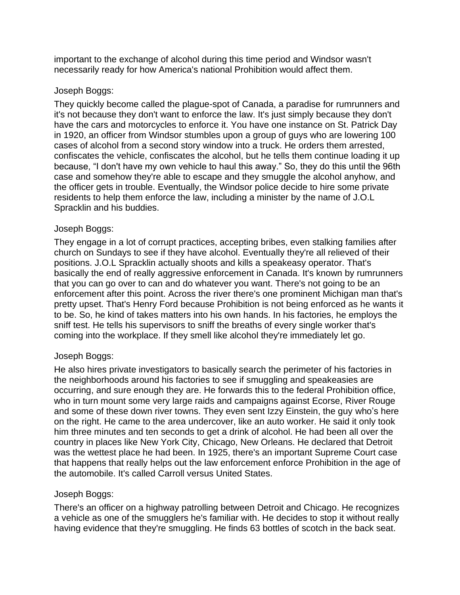important to the exchange of alcohol during this time period and Windsor wasn't necessarily ready for how America's national Prohibition would affect them.

## Joseph Boggs:

They quickly become called the plague-spot of Canada, a paradise for rumrunners and it's not because they don't want to enforce the law. It's just simply because they don't have the cars and motorcycles to enforce it. You have one instance on St. Patrick Day in 1920, an officer from Windsor stumbles upon a group of guys who are lowering 100 cases of alcohol from a second story window into a truck. He orders them arrested, confiscates the vehicle, confiscates the alcohol, but he tells them continue loading it up because, "I don't have my own vehicle to haul this away." So, they do this until the 96th case and somehow they're able to escape and they smuggle the alcohol anyhow, and the officer gets in trouble. Eventually, the Windsor police decide to hire some private residents to help them enforce the law, including a minister by the name of J.O.L Spracklin and his buddies.

## Joseph Boggs:

They engage in a lot of corrupt practices, accepting bribes, even stalking families after church on Sundays to see if they have alcohol. Eventually they're all relieved of their positions. J.O.L Spracklin actually shoots and kills a speakeasy operator. That's basically the end of really aggressive enforcement in Canada. It's known by rumrunners that you can go over to can and do whatever you want. There's not going to be an enforcement after this point. Across the river there's one prominent Michigan man that's pretty upset. That's Henry Ford because Prohibition is not being enforced as he wants it to be. So, he kind of takes matters into his own hands. In his factories, he employs the sniff test. He tells his supervisors to sniff the breaths of every single worker that's coming into the workplace. If they smell like alcohol they're immediately let go.

## Joseph Boggs:

He also hires private investigators to basically search the perimeter of his factories in the neighborhoods around his factories to see if smuggling and speakeasies are occurring, and sure enough they are. He forwards this to the federal Prohibition office, who in turn mount some very large raids and campaigns against Ecorse, River Rouge and some of these down river towns. They even sent Izzy Einstein, the guy who's here on the right. He came to the area undercover, like an auto worker. He said it only took him three minutes and ten seconds to get a drink of alcohol. He had been all over the country in places like New York City, Chicago, New Orleans. He declared that Detroit was the wettest place he had been. In 1925, there's an important Supreme Court case that happens that really helps out the law enforcement enforce Prohibition in the age of the automobile. It's called Carroll versus United States.

## Joseph Boggs:

There's an officer on a highway patrolling between Detroit and Chicago. He recognizes a vehicle as one of the smugglers he's familiar with. He decides to stop it without really having evidence that they're smuggling. He finds 63 bottles of scotch in the back seat.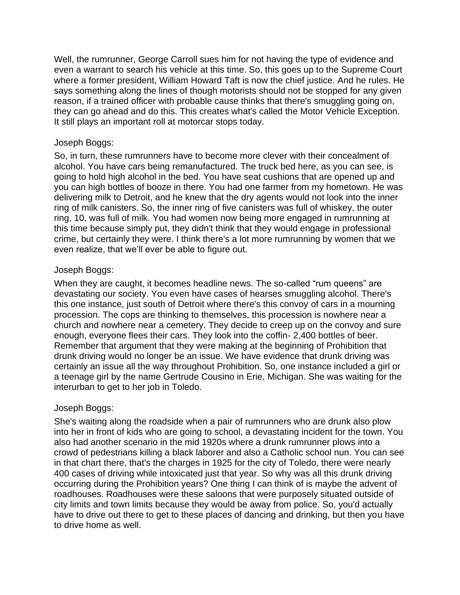Well, the rumrunner, George Carroll sues him for not having the type of evidence and even a warrant to search his vehicle at this time. So, this goes up to the Supreme Court where a former president, William Howard Taft is now the chief justice. And he rules. He says something along the lines of though motorists should not be stopped for any given reason, if a trained officer with probable cause thinks that there's smuggling going on, they can go ahead and do this. This creates what's called the Motor Vehicle Exception. It still plays an important roll at motorcar stops today.

### Joseph Boggs:

So, in turn, these rumrunners have to become more clever with their concealment of alcohol. You have cars being remanufactured. The truck bed here, as you can see, is going to hold high alcohol in the bed. You have seat cushions that are opened up and you can high bottles of booze in there. You had one farmer from my hometown. He was delivering milk to Detroit, and he knew that the dry agents would not look into the inner ring of milk canisters. So, the inner ring of five canisters was full of whiskey, the outer ring, 10, was full of milk. You had women now being more engaged in rumrunning at this time because simply put, they didn't think that they would engage in professional crime, but certainly they were. I think there's a lot more rumrunning by women that we even realize, that we'll ever be able to figure out.

#### Joseph Boggs:

When they are caught, it becomes headline news. The so-called "rum queens" are devastating our society. You even have cases of hearses smuggling alcohol. There's this one instance, just south of Detroit where there's this convoy of cars in a mourning procession. The cops are thinking to themselves, this procession is nowhere near a church and nowhere near a cemetery. They decide to creep up on the convoy and sure enough, everyone flees their cars. They look into the coffin- 2,400 bottles of beer. Remember that argument that they were making at the beginning of Prohibition that drunk driving would no longer be an issue. We have evidence that drunk driving was certainly an issue all the way throughout Prohibition. So, one instance included a girl or a teenage girl by the name Gertrude Cousino in Erie, Michigan. She was waiting for the interurban to get to her job in Toledo.

## Joseph Boggs:

She's waiting along the roadside when a pair of rumrunners who are drunk also plow into her in front of kids who are going to school, a devastating incident for the town. You also had another scenario in the mid 1920s where a drunk rumrunner plows into a crowd of pedestrians killing a black laborer and also a Catholic school nun. You can see in that chart there, that's the charges in 1925 for the city of Toledo, there were nearly 400 cases of driving while intoxicated just that year. So why was all this drunk driving occurring during the Prohibition years? One thing I can think of is maybe the advent of roadhouses. Roadhouses were these saloons that were purposely situated outside of city limits and town limits because they would be away from police. So, you'd actually have to drive out there to get to these places of dancing and drinking, but then you have to drive home as well.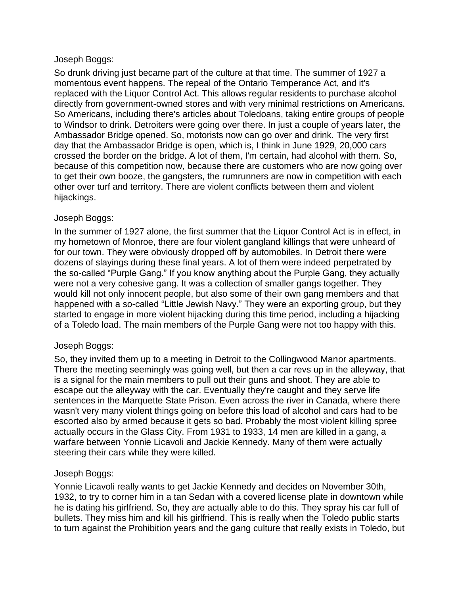## Joseph Boggs:

So drunk driving just became part of the culture at that time. The summer of 1927 a momentous event happens. The repeal of the Ontario Temperance Act, and it's replaced with the Liquor Control Act. This allows regular residents to purchase alcohol directly from government-owned stores and with very minimal restrictions on Americans. So Americans, including there's articles about Toledoans, taking entire groups of people to Windsor to drink. Detroiters were going over there. In just a couple of years later, the Ambassador Bridge opened. So, motorists now can go over and drink. The very first day that the Ambassador Bridge is open, which is, I think in June 1929, 20,000 cars crossed the border on the bridge. A lot of them, I'm certain, had alcohol with them. So, because of this competition now, because there are customers who are now going over to get their own booze, the gangsters, the rumrunners are now in competition with each other over turf and territory. There are violent conflicts between them and violent hijackings.

## Joseph Boggs:

In the summer of 1927 alone, the first summer that the Liquor Control Act is in effect, in my hometown of Monroe, there are four violent gangland killings that were unheard of for our town. They were obviously dropped off by automobiles. In Detroit there were dozens of slayings during these final years. A lot of them were indeed perpetrated by the so-called "Purple Gang." If you know anything about the Purple Gang, they actually were not a very cohesive gang. It was a collection of smaller gangs together. They would kill not only innocent people, but also some of their own gang members and that happened with a so-called "Little Jewish Navy." They were an exporting group, but they started to engage in more violent hijacking during this time period, including a hijacking of a Toledo load. The main members of the Purple Gang were not too happy with this.

## Joseph Boggs:

So, they invited them up to a meeting in Detroit to the Collingwood Manor apartments. There the meeting seemingly was going well, but then a car revs up in the alleyway, that is a signal for the main members to pull out their guns and shoot. They are able to escape out the alleyway with the car. Eventually they're caught and they serve life sentences in the Marquette State Prison. Even across the river in Canada, where there wasn't very many violent things going on before this load of alcohol and cars had to be escorted also by armed because it gets so bad. Probably the most violent killing spree actually occurs in the Glass City. From 1931 to 1933, 14 men are killed in a gang, a warfare between Yonnie Licavoli and Jackie Kennedy. Many of them were actually steering their cars while they were killed.

## Joseph Boggs:

Yonnie Licavoli really wants to get Jackie Kennedy and decides on November 30th, 1932, to try to corner him in a tan Sedan with a covered license plate in downtown while he is dating his girlfriend. So, they are actually able to do this. They spray his car full of bullets. They miss him and kill his girlfriend. This is really when the Toledo public starts to turn against the Prohibition years and the gang culture that really exists in Toledo, but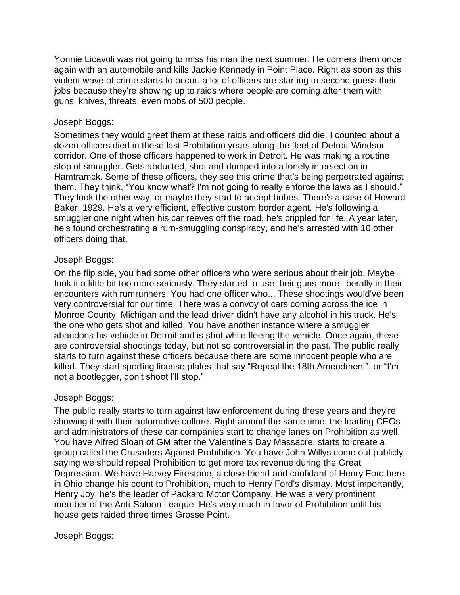Yonnie Licavoli was not going to miss his man the next summer. He corners them once again with an automobile and kills Jackie Kennedy in Point Place. Right as soon as this violent wave of crime starts to occur, a lot of officers are starting to second guess their jobs because they're showing up to raids where people are coming after them with guns, knives, threats, even mobs of 500 people.

## Joseph Boggs:

Sometimes they would greet them at these raids and officers did die. I counted about a dozen officers died in these last Prohibition years along the fleet of Detroit-Windsor corridor. One of those officers happened to work in Detroit. He was making a routine stop of smuggler. Gets abducted, shot and dumped into a lonely intersection in Hamtramck. Some of these officers, they see this crime that's being perpetrated against them. They think, "You know what? I'm not going to really enforce the laws as I should." They look the other way, or maybe they start to accept bribes. There's a case of Howard Baker, 1929. He's a very efficient, effective custom border agent. He's following a smuggler one night when his car reeves off the road, he's crippled for life. A year later, he's found orchestrating a rum-smuggling conspiracy, and he's arrested with 10 other officers doing that.

## Joseph Boggs:

On the flip side, you had some other officers who were serious about their job. Maybe took it a little bit too more seriously. They started to use their guns more liberally in their encounters with rumrunners. You had one officer who... These shootings would've been very controversial for our time. There was a convoy of cars coming across the ice in Monroe County, Michigan and the lead driver didn't have any alcohol in his truck. He's the one who gets shot and killed. You have another instance where a smuggler abandons his vehicle in Detroit and is shot while fleeing the vehicle. Once again, these are controversial shootings today, but not so controversial in the past. The public really starts to turn against these officers because there are some innocent people who are killed. They start sporting license plates that say "Repeal the 18th Amendment", or "I'm not a bootlegger, don't shoot I'll stop."

## Joseph Boggs:

The public really starts to turn against law enforcement during these years and they're showing it with their automotive culture. Right around the same time, the leading CEOs and administrators of these car companies start to change lanes on Prohibition as well. You have Alfred Sloan of GM after the Valentine's Day Massacre, starts to create a group called the Crusaders Against Prohibition. You have John Willys come out publicly saying we should repeal Prohibition to get more tax revenue during the Great Depression. We have Harvey Firestone, a close friend and confidant of Henry Ford here in Ohio change his count to Prohibition, much to Henry Ford's dismay. Most importantly, Henry Joy, he's the leader of Packard Motor Company. He was a very prominent member of the Anti-Saloon League. He's very much in favor of Prohibition until his house gets raided three times Grosse Point.

## Joseph Boggs: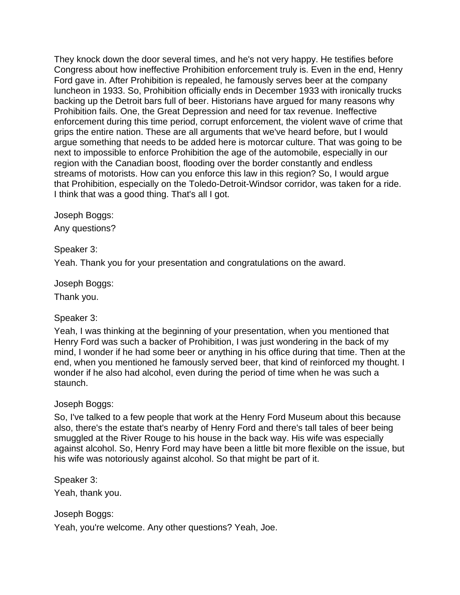They knock down the door several times, and he's not very happy. He testifies before Congress about how ineffective Prohibition enforcement truly is. Even in the end, Henry Ford gave in. After Prohibition is repealed, he famously serves beer at the company luncheon in 1933. So, Prohibition officially ends in December 1933 with ironically trucks backing up the Detroit bars full of beer. Historians have argued for many reasons why Prohibition fails. One, the Great Depression and need for tax revenue. Ineffective enforcement during this time period, corrupt enforcement, the violent wave of crime that grips the entire nation. These are all arguments that we've heard before, but I would argue something that needs to be added here is motorcar culture. That was going to be next to impossible to enforce Prohibition the age of the automobile, especially in our region with the Canadian boost, flooding over the border constantly and endless streams of motorists. How can you enforce this law in this region? So, I would argue that Prohibition, especially on the Toledo-Detroit-Windsor corridor, was taken for a ride. I think that was a good thing. That's all I got.

Joseph Boggs:

Any questions?

Speaker 3:

Yeah. Thank you for your presentation and congratulations on the award.

Joseph Boggs:

Thank you.

## Speaker 3:

Yeah, I was thinking at the beginning of your presentation, when you mentioned that Henry Ford was such a backer of Prohibition, I was just wondering in the back of my mind, I wonder if he had some beer or anything in his office during that time. Then at the end, when you mentioned he famously served beer, that kind of reinforced my thought. I wonder if he also had alcohol, even during the period of time when he was such a staunch.

## Joseph Boggs:

So, I've talked to a few people that work at the Henry Ford Museum about this because also, there's the estate that's nearby of Henry Ford and there's tall tales of beer being smuggled at the River Rouge to his house in the back way. His wife was especially against alcohol. So, Henry Ford may have been a little bit more flexible on the issue, but his wife was notoriously against alcohol. So that might be part of it.

Speaker 3:

Yeah, thank you.

## Joseph Boggs:

Yeah, you're welcome. Any other questions? Yeah, Joe.